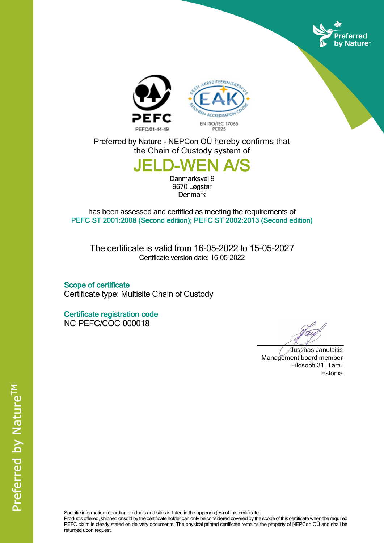





Preferred by Nature - NEPCon OÜ hereby confirms that the Chain of Custody system of

## **JELD-WEI**

Danmarksvej 9 9670 Løgstør **Denmark** 

has been assessed and certified as meeting the requirements of **PEFC ST 2001:2008 (Second edition); PEFC ST 2002:2013 (Second edition)**

The certificate is valid from 16-05-2022 to 15-05-2027 Certificate version date: 16-05-2022

**Scope of certificate** Certificate type: Multisite Chain of Custody

**Certificate registration code** NC-PEFC/COC-000018

Justinas Janulaitis Management board member Filosoofi 31, Tartu Estonia

Specific information regarding products and sites is listed in the appendix(es) of this certificate.

Products offered, shipped or sold by the certificate holder can only be considered covered by the scope of this certificate when the required PEFC claim is clearly stated on delivery documents. The physical printed certificate remains the property of NEPCon OÜ and shall be returned upon request.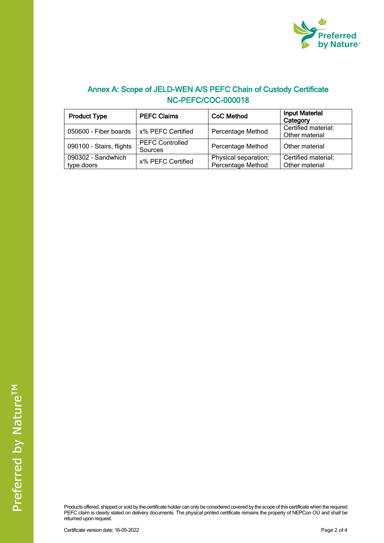

## **Annex A: Scope of JELD-WEN A/S PEFC Chain of Custody Certificate NC-PEFC/COC-000018**

| <b>Product Type</b>              | <b>PEFC Claims</b>                | <b>CoC Method</b>                         | <b>Input Material</b><br>Category     |
|----------------------------------|-----------------------------------|-------------------------------------------|---------------------------------------|
| 050600 - Fiber boards            | x% PEFC Certified                 | Percentage Method                         | Certified material;<br>Other material |
| 090100 - Stairs, flights         | <b>PEFC Controlled</b><br>Sources | Percentage Method                         | Other material                        |
| 090302 - Sandwhich<br>type doors | x% PEFC Certified                 | Physical separation;<br>Percentage Method | Certified material;<br>Other material |

Products offered, shipped or sold by the certificate holder can only be considered covered by the scope of this certificate when the required PEFC claim is clearly stated on delivery documents. The physical printed certificate remains the property of NEPCon OÜ and shall be returned upon request.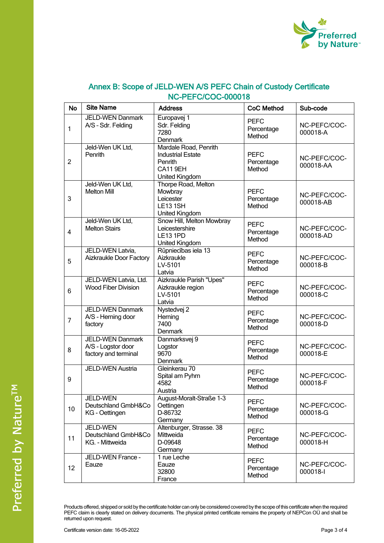

| <b>No</b>      | <b>Site Name</b>                                                      | <b>Address</b>                                                                            | <b>CoC Method</b>                   | Sub-code                  |
|----------------|-----------------------------------------------------------------------|-------------------------------------------------------------------------------------------|-------------------------------------|---------------------------|
| 1              | <b>JELD-WEN Danmark</b><br>A/S - Sdr. Felding                         | Europavej 1<br>Sdr. Felding<br>7280<br>Denmark                                            | <b>PEFC</b><br>Percentage<br>Method | NC-PEFC/COC-<br>000018-A  |
| $\overline{c}$ | Jeld-Wen UK Ltd,<br>Penrith                                           | Mardale Road, Penrith<br><b>Industrial Estate</b><br>Penrith<br>CA119EH<br>United Kingdom | <b>PEFC</b><br>Percentage<br>Method | NC-PEFC/COC-<br>000018-AA |
| 3              | Jeld-Wen UK Ltd,<br><b>Melton Mill</b>                                | Thorpe Road, Melton<br>Mowbray<br>Leicester<br><b>LE131SH</b><br>United Kingdom           | <b>PEFC</b><br>Percentage<br>Method | NC-PEFC/COC-<br>000018-AB |
| $\overline{4}$ | Jeld-Wen UK Ltd,<br><b>Melton Stairs</b>                              | Snow Hill, Melton Mowbray<br>Leicestershire<br><b>LE13 1PD</b><br>United Kingdom          | <b>PEFC</b><br>Percentage<br>Method | NC-PEFC/COC-<br>000018-AD |
| 5              | JELD-WEN Latvia,<br>Aizkraukle Door Factory                           | Rūpniecības iela 13<br>Aizkraukle<br>LV-5101<br>Latvia                                    | <b>PEFC</b><br>Percentage<br>Method | NC-PEFC/COC-<br>000018-B  |
| 6              | JELD-WEN Latvia, Ltd.<br>Wood Fiber Division                          | Aizkraukle Parish "Upes"<br>Aizkraukle region<br>LV-5101<br>Latvia                        | <b>PEFC</b><br>Percentage<br>Method | NC-PEFC/COC-<br>000018-C  |
| $\overline{7}$ | <b>JELD-WEN Danmark</b><br>A/S - Herning door<br>factory              | Nystedvej 2<br>Herning<br>7400<br>Denmark                                                 | <b>PEFC</b><br>Percentage<br>Method | NC-PEFC/COC-<br>000018-D  |
| 8              | <b>JELD-WEN Danmark</b><br>A/S - Logstor door<br>factory and terminal | Danmarksvej 9<br>Logstor<br>9670<br>Denmark                                               | <b>PEFC</b><br>Percentage<br>Method | NC-PEFC/COC-<br>000018-E  |
| 9              | <b>JELD-WEN Austria</b>                                               | Gleinkerau 70<br>Spital am Pyhrn<br>4582<br>Austria                                       | <b>PEFC</b><br>Percentage<br>Method | NC-PEFC/COC-<br>000018-F  |
| 10             | JELD-WEN<br>Deutschland GmbH&Co<br>KG - Oettingen                     | August-Moralt-Straße 1-3<br>Oettingen<br>D-86732<br>Germany                               | <b>PEFC</b><br>Percentage<br>Method | NC-PEFC/COC-<br>000018-G  |
| 11             | JELD-WEN<br>Deutschland GmbH&Co<br>KG. - Mittweida                    | Altenburger, Strasse. 38<br>Mittweida<br>D-09648<br>Germany                               | <b>PEFC</b><br>Percentage<br>Method | NC-PEFC/COC-<br>000018-H  |
| 12             | JELD-WEN France -<br>Eauze                                            | 1 rue Leche<br>Eauze<br>32800<br>France                                                   | <b>PEFC</b><br>Percentage<br>Method | NC-PEFC/COC-<br>000018-I  |

## **Annex B: Scope of JELD-WEN A/S PEFC Chain of Custody Certificate NC-PEFC/COC-000018**

Products offered, shipped or sold by the certificate holder can only be considered covered by the scope of this certificate when the required PEFC claim is clearly stated on delivery documents. The physical printed certificate remains the property of NEPCon OÜ and shall be returned upon request.